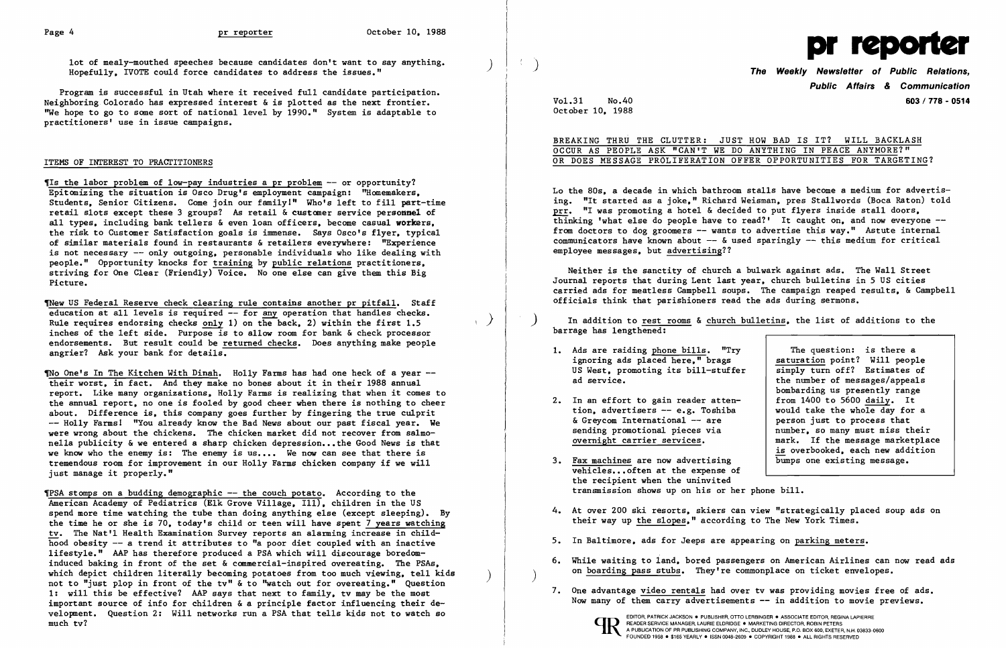lot of mealy-mouthed speeches because candidates don't want to say anything. Hopefully. IVOTE could force candidates to address the issues."

Program is successful in Utah where it received full candidate participation. Neighboring Colorado has expressed interest &is plotted as the next frontier. "We hope to go to some sort of national level by 1990." System is adaptable to practitioners' use in issue campaigns.

## ITEMS OF INTEREST TO PRACTITIONERS

1New US Federal Reserve check clearing rule contains another pr pitfall. Staff education at all levels is required -- for any operation that handles checks. education at all levels is required -- for <u>any</u> operation that handles checks.<br>Rule requires endorsing checks <u>only</u> 1) on the back. 2) within the first 1.5 inches of the left side. Purpose is to allow room for bank & check processor endorsements. But result could be returned checks. Does anything make people angrier? Ask your bank for details. ֺֺ

1Is the labor problem of low-pay industries a pr problem -- or opportunity? Epitomizing the situation is Osco Drug's employment campaign:  $"Homemakers.$ Students. Senior Citizens. Come join our family!" Who's left to fill part-time retail slots except these 3 groups? As retail & customer service personnel of all types. including bank tellers & even loan officers. become casual workers. the risk to Customer Satisfaction goals is immense. Says Osco's flyer. typical of similar materials found in restaurants & retailers everYWhere: "Experience is not necessary -- only outgoing. personable individuals who like dealing with people." Opportunity knocks for training by public relations practitioners. striving for One Clear (Friendly) Voice. No one else can give them this Big Picture.

Tho One's In The Kitchen With Dinah. Holly Farms has had one heck of a year -their worst. in fact. And they make no bones about it in their 1988 annual report. Like many organizations. Holly Farms is realizing that when it comes to the annual report. no one is fooled by good cheer when there is nothing to cheer about. Difference is. this company goes further by fingering the true culprit -- Holly Farms! "You already know the Bad News about our past fiscal year. We were wrong about the chickens. The chicken market did not recover from salmonella publicity & we entered a sharp chicken depression... the Good News is that we know who the enemy is: The enemy is us.... We now can see that there is tremendous room for improvement in our Holly Farms chicken company if we will just manage it properly."

Public Affairs & Communication Vol.31 No.40 603 / 778 - 0514

BREAKING THRU THE CLUTTER: JUST HOW BAD IS IT? WILL BACKLASH OCCUR AS PEOPLE ASK "CAN'T WE DO ANYTHING IN PEACE ANYMORE?" OR DOES MESSAGE PRÖLIFERATION OFFER OPPORTUNITIES FOR TARGETING?

- 1. Ads are raiding phone bills. "Try ignoring ads placed here." brags US West. promoting its bi11-stuffer ad service.
- 2. In an effort to gain reader attention. advertisers -- e.g. Toshiba & Greycom International -- are sending promotional pieces via overnight carrier services.
- 3. Fax machines are now advertising vehicles... often at the expense of the recipient when the uninvited transmission shows up on his or her phone bill.
- 4. At over 200 ski resorts, skiers can view "strategically placed soup ads on their way up the slopes." according to The New York Times.
- 5. In Baltimore. ads for Jeeps are appearing on parking meters.
- on boarding pass stubs. They're commonplace on ticket envelopes. )
- 7. One advantage video rentals had over tv was providing movies free of ads.

1PSA stomps on a budding demographic -- the couch potato. According to the American Academy of Pediatrics (Elk Grove Village. Ill). children in the US spend more time watching the tube than doing anything else (except sleeping). By the time he or she is 70. today's child or teen will have spent 7 years watching tv. The Nat'l Health Examination Survey reports an alarming increase in childhood obesity -- a trend it attributes to "a poor diet coupled with an inactive lifestyle." AAP has therefore produced a PSA which will discourage boredominduced baking in front of the set & commercial-inspired overeating. The PSAs. which depict children literally becoming potatoes from too much viewing, tell kids not to "just plop in front of the tv" & to "watch out for overeating." Question 1: will this be effective? AAP says that next to family. tv may be the most important source of info for children & a principle factor influencing their development. Question 2: Will networks run a PSA that tells kids not to watch so much tv?



October 10. 1988

Lo the 80s. a decade in which bathroom stalls have become a medium for advertising. "It started as a joke." Richard Weisman. pres Stal1words (Boca Raton) told prr. "I was promoting a hotel & decided to put flyers inside stall doors. thinking 'what else do people have to read?' It caught on. and now everyone from doctors to dog groomers  $-$  wants to advertise this way." Astute internal communicators have known about  $-$  & used sparingly  $-$  this medium for critical employee messages. but advertising??

Neither is the sanctity of church a bulwark against ads. The Wall Street Journal reports that during Lent last year. church bulletins in 5 US cities carried ads for meatless Campbell soups. The campaign reaped results. & Campbell officials think that parishioners read the ads during sermons.

) In addition to rest rooms & church bulletins. the list of additions to the barrage has lengthened:

> The question: is there a saturation point? Will people simply turn off? Estimates of the number of messages/appeals bombarding us presently range from 1400 to 5600 daily. It would take the whole day for a person just to process that number. so many must miss their mark. If the message marketplace is overbooked. each new addition bumps one existing message.

6. While waiting to land. bored passengers on American Airlines can now read ads

Now many of them carry advertisements -- in addition to movie previews.